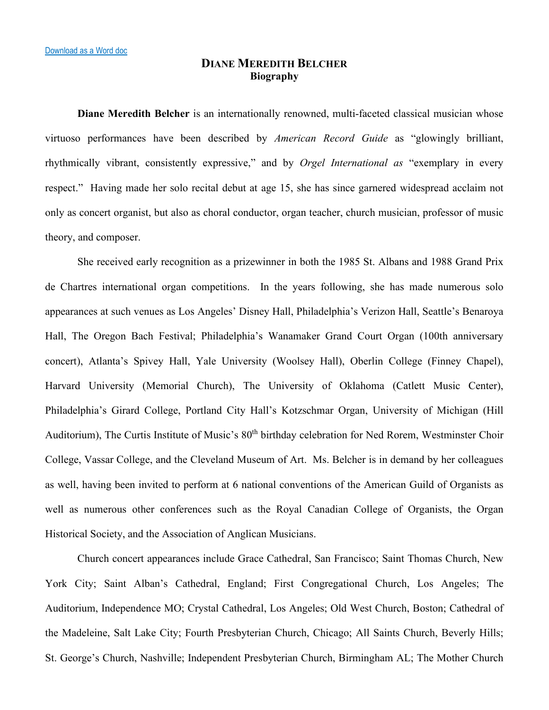## **DIANE MEREDITH BELCHER Biography**

**Diane Meredith Belcher** is an internationally renowned, multi-faceted classical musician whose virtuoso performances have been described by *American Record Guide* as "glowingly brilliant, rhythmically vibrant, consistently expressive," and by *Orgel International as* "exemplary in every respect." Having made her solo recital debut at age 15, she has since garnered widespread acclaim not only as concert organist, but also as choral conductor, organ teacher, church musician, professor of music theory, and composer.

She received early recognition as a prizewinner in both the 1985 St. Albans and 1988 Grand Prix de Chartres international organ competitions. In the years following, she has made numerous solo appearances at such venues as Los Angeles' Disney Hall, Philadelphia's Verizon Hall, Seattle's Benaroya Hall, The Oregon Bach Festival; Philadelphia's Wanamaker Grand Court Organ (100th anniversary concert), Atlanta's Spivey Hall, Yale University (Woolsey Hall), Oberlin College (Finney Chapel), Harvard University (Memorial Church), The University of Oklahoma (Catlett Music Center), Philadelphia's Girard College, Portland City Hall's Kotzschmar Organ, University of Michigan (Hill Auditorium), The Curtis Institute of Music's  $80<sup>th</sup>$  birthday celebration for Ned Rorem, Westminster Choir College, Vassar College, and the Cleveland Museum of Art. Ms. Belcher is in demand by her colleagues as well, having been invited to perform at 6 national conventions of the American Guild of Organists as well as numerous other conferences such as the Royal Canadian College of Organists, the Organ Historical Society, and the Association of Anglican Musicians.

Church concert appearances include Grace Cathedral, San Francisco; Saint Thomas Church, New York City; Saint Alban's Cathedral, England; First Congregational Church, Los Angeles; The Auditorium, Independence MO; Crystal Cathedral, Los Angeles; Old West Church, Boston; Cathedral of the Madeleine, Salt Lake City; Fourth Presbyterian Church, Chicago; All Saints Church, Beverly Hills; St. George's Church, Nashville; Independent Presbyterian Church, Birmingham AL; The Mother Church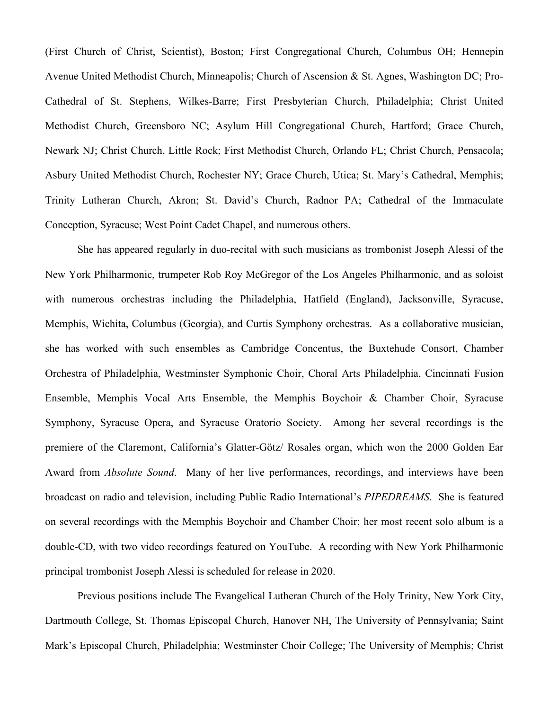(First Church of Christ, Scientist), Boston; First Congregational Church, Columbus OH; Hennepin Avenue United Methodist Church, Minneapolis; Church of Ascension & St. Agnes, Washington DC; Pro-Cathedral of St. Stephens, Wilkes-Barre; First Presbyterian Church, Philadelphia; Christ United Methodist Church, Greensboro NC; Asylum Hill Congregational Church, Hartford; Grace Church, Newark NJ; Christ Church, Little Rock; First Methodist Church, Orlando FL; Christ Church, Pensacola; Asbury United Methodist Church, Rochester NY; Grace Church, Utica; St. Mary's Cathedral, Memphis; Trinity Lutheran Church, Akron; St. David's Church, Radnor PA; Cathedral of the Immaculate Conception, Syracuse; West Point Cadet Chapel, and numerous others.

She has appeared regularly in duo-recital with such musicians as trombonist Joseph Alessi of the New York Philharmonic, trumpeter Rob Roy McGregor of the Los Angeles Philharmonic, and as soloist with numerous orchestras including the Philadelphia, Hatfield (England), Jacksonville, Syracuse, Memphis, Wichita, Columbus (Georgia), and Curtis Symphony orchestras. As a collaborative musician, she has worked with such ensembles as Cambridge Concentus, the Buxtehude Consort, Chamber Orchestra of Philadelphia, Westminster Symphonic Choir, Choral Arts Philadelphia, Cincinnati Fusion Ensemble, Memphis Vocal Arts Ensemble, the Memphis Boychoir & Chamber Choir, Syracuse Symphony, Syracuse Opera, and Syracuse Oratorio Society. Among her several recordings is the premiere of the Claremont, California's Glatter-Götz/ Rosales organ, which won the 2000 Golden Ear Award from *Absolute Sound*. Many of her live performances, recordings, and interviews have been broadcast on radio and television, including Public Radio International's *PIPEDREAMS*. She is featured on several recordings with the Memphis Boychoir and Chamber Choir; her most recent solo album is a double-CD, with two video recordings featured on YouTube. A recording with New York Philharmonic principal trombonist Joseph Alessi is scheduled for release in 2020.

Previous positions include The Evangelical Lutheran Church of the Holy Trinity, New York City, Dartmouth College, St. Thomas Episcopal Church, Hanover NH, The University of Pennsylvania; Saint Mark's Episcopal Church, Philadelphia; Westminster Choir College; The University of Memphis; Christ